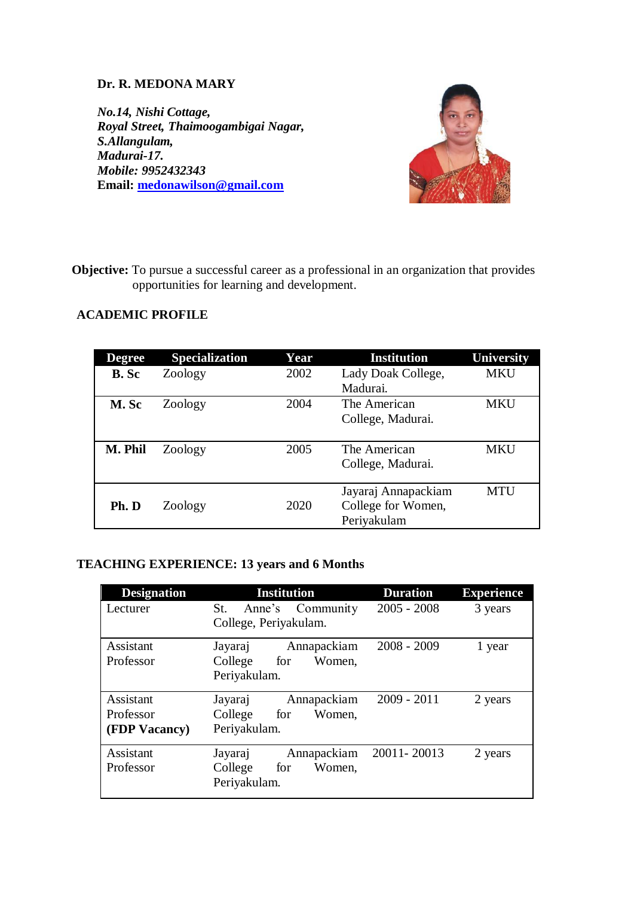# **Dr. R. MEDONA MARY**

*No.14, Nishi Cottage, Royal Street, Thaimoogambigai Nagar, S.Allangulam, Madurai-17. Mobile: 9952432343* **Email: [medonawilson@gmail.com](mailto:medonawilson@gmail.com)**



 **Objective:** To pursue a successful career as a professional in an organization that provides opportunities for learning and development.

# **ACADEMIC PROFILE**

| <b>Degree</b> | <b>Specialization</b> | Year | <b>Institution</b>  | <b>University</b> |
|---------------|-----------------------|------|---------------------|-------------------|
| <b>B.</b> Sc  | Zoology               | 2002 | Lady Doak College,  | <b>MKU</b>        |
|               |                       |      | Madurai.            |                   |
| M. Sc         | Zoology               | 2004 | The American        | <b>MKU</b>        |
|               |                       |      | College, Madurai.   |                   |
|               |                       |      |                     |                   |
| M. Phil       | Zoology               | 2005 | The American        | <b>MKU</b>        |
|               |                       |      | College, Madurai.   |                   |
|               |                       |      |                     |                   |
|               |                       |      | Jayaraj Annapackiam | <b>MTU</b>        |
| Ph. D         | Zoology               | 2020 | College for Women,  |                   |
|               |                       |      | Periyakulam         |                   |

# **TEACHING EXPERIENCE: 13 years and 6 Months**

| <b>Designation</b> | <b>Institution</b>         | <b>Duration</b> | <b>Experience</b> |
|--------------------|----------------------------|-----------------|-------------------|
| Lecturer           | Community<br>St.<br>Anne's | $2005 - 2008$   | 3 years           |
|                    | College, Periyakulam.      |                 |                   |
| Assistant          | Annapackiam<br>Jayaraj     | $2008 - 2009$   | 1 year            |
| Professor          | College<br>Women.<br>for   |                 |                   |
|                    | Periyakulam.               |                 |                   |
| Assistant          | Annapackiam<br>Jayaraj     | $2009 - 2011$   | 2 years           |
| Professor          | College<br>Women.<br>for   |                 |                   |
| (FDP Vacancy)      | Periyakulam.               |                 |                   |
| Assistant          | Annapackiam<br>Jayaraj     | 20011-20013     | 2 years           |
| Professor          | College<br>Women.<br>for   |                 |                   |
|                    | Periyakulam.               |                 |                   |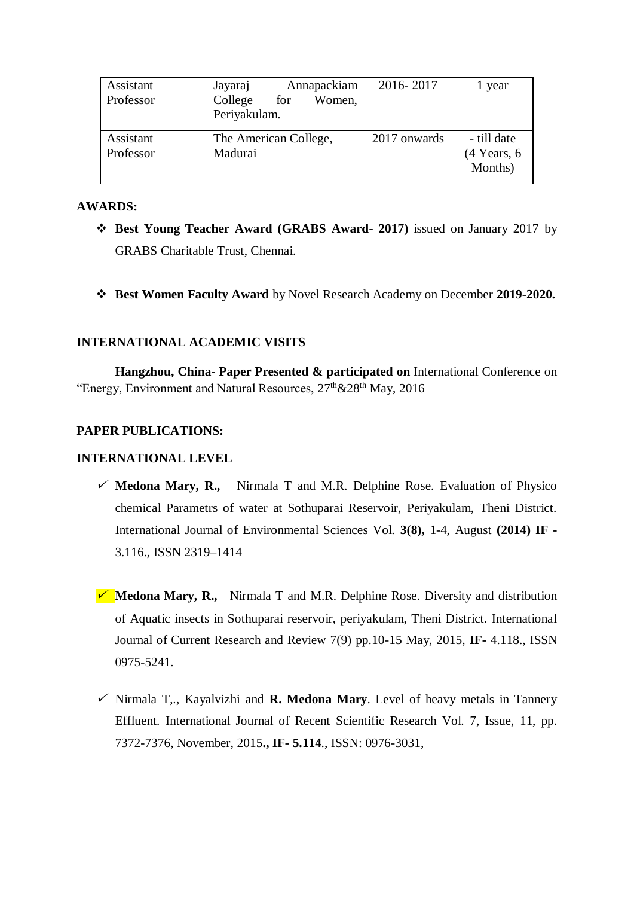| Assistant<br>Professor | Jayaraj<br>College<br>for<br>Periyakulam. | Annapackiam<br>Women, | 2016-2017    | 1 year                                  |
|------------------------|-------------------------------------------|-----------------------|--------------|-----------------------------------------|
| Assistant<br>Professor | The American College,<br>Madurai          |                       | 2017 onwards | - till date<br>$(4$ Years, 6<br>Months) |

## **AWARDS:**

- **Best Young Teacher Award (GRABS Award- 2017)** issued on January 2017 by GRABS Charitable Trust, Chennai.
- **Best Women Faculty Award** by Novel Research Academy on December **2019-2020.**

## **INTERNATIONAL ACADEMIC VISITS**

**Hangzhou, China- Paper Presented & participated on** International Conference on "Energy, Environment and Natural Resources,  $27^{\text{th}}$  &  $28^{\text{th}}$  May,  $2016$ 

## **PAPER PUBLICATIONS:**

#### **INTERNATIONAL LEVEL**

- $\checkmark$  **Medona Mary, R.,** Nirmala T and M.R. Delphine Rose. Evaluation of Physico chemical Parametrs of water at Sothuparai Reservoir, Periyakulam, Theni District. International Journal of Environmental Sciences Vol. **3(8),** 1-4, August **(2014) IF -** 3.116., ISSN 2319–1414
- **★ Medona Mary, R.,** Nirmala T and M.R. Delphine Rose. Diversity and distribution of Aquatic insects in Sothuparai reservoir, periyakulam, Theni District. International Journal of Current Research and Review 7(9) pp.10-15 May, 2015, **IF-** 4.118., ISSN 0975-5241.
- $\checkmark$  Nirmala T,., Kayalvizhi and **R. Medona Mary**. Level of heavy metals in Tannery Effluent*.* International Journal of Recent Scientific Research Vol. 7, Issue, 11, pp. 7372-7376, November, 2015**., IF- 5.114**., ISSN: 0976-3031,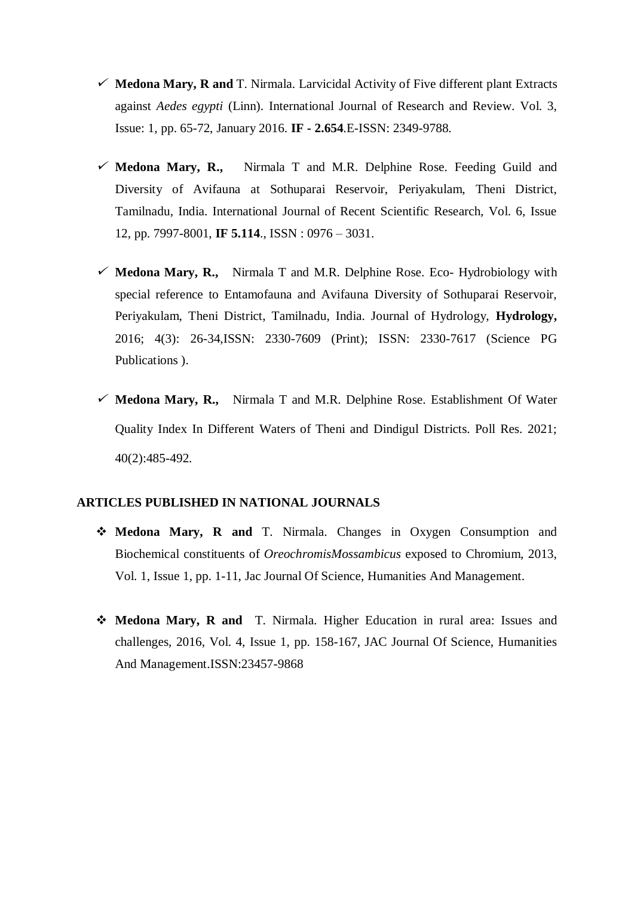- $\checkmark$  Medona Mary, R and T. Nirmala. Larvicidal Activity of Five different plant Extracts against *Aedes egypti* (Linn). International Journal of Research and Review. Vol. 3, Issue: 1, pp. 65-72, January 2016. **IF - 2.654**.E-ISSN: 2349-9788.
- **Medona Mary, R.,** Nirmala T and M.R. Delphine Rose. Feeding Guild and Diversity of Avifauna at Sothuparai Reservoir, Periyakulam, Theni District, Tamilnadu, India. International Journal of Recent Scientific Research, Vol. 6, Issue 12, pp. 7997-8001, **IF 5.114**., ISSN : 0976 – 3031.
- $\checkmark$  **Medona Mary, R.,** Nirmala T and M.R. Delphine Rose. Eco- Hydrobiology with special reference to Entamofauna and Avifauna Diversity of Sothuparai Reservoir, Periyakulam, Theni District, Tamilnadu, India. Journal of Hydrology, **Hydrology,**  2016; 4(3): 26-34,ISSN: 2330-7609 (Print); ISSN: 2330-7617 (Science PG Publications ).
- $\checkmark$  **Medona Mary, R.,** Nirmala T and M.R. Delphine Rose. Establishment Of Water Quality Index In Different Waters of Theni and Dindigul Districts. Poll Res. 2021; 40(2):485-492.

#### **ARTICLES PUBLISHED IN NATIONAL JOURNALS**

- **Medona Mary, R and** T. Nirmala. Changes in Oxygen Consumption and Biochemical constituents of *OreochromisMossambicus* exposed to Chromium, 2013, Vol. 1, Issue 1, pp. 1-11, Jac Journal Of Science, Humanities And Management.
- **Medona Mary, R and** T. Nirmala. Higher Education in rural area: Issues and challenges, 2016, Vol. 4, Issue 1, pp. 158-167, JAC Journal Of Science, Humanities And Management.ISSN:23457-9868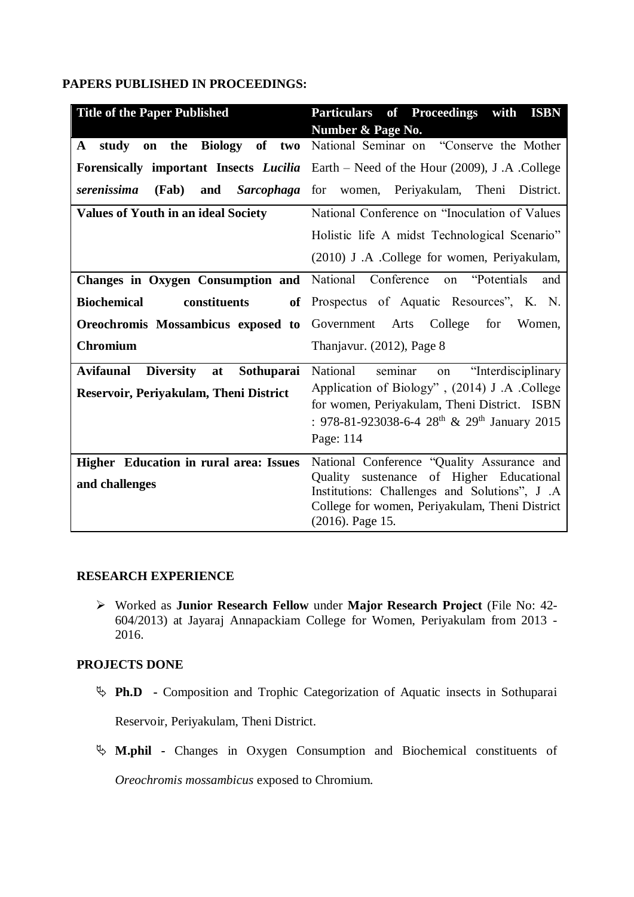## **PAPERS PUBLISHED IN PROCEEDINGS:**

| <b>Title of the Paper Published</b>                      | <b>Particulars of Proceedings</b><br>with<br><b>ISBN</b>                                           |
|----------------------------------------------------------|----------------------------------------------------------------------------------------------------|
|                                                          | Number & Page No.                                                                                  |
| of two<br>Biology<br>study<br>the<br>A<br>on             | National Seminar on "Conserve the Mother                                                           |
|                                                          | <b>Forensically important Insects <i>Lucilia</i></b> Earth – Need of the Hour (2009), J.A. College |
| serenissima<br>(Fab)<br>and                              | Sarcophaga for women, Periyakulam, Theni<br>District.                                              |
| <b>Values of Youth in an ideal Society</b>               | National Conference on "Inoculation of Values                                                      |
|                                                          | Holistic life A midst Technological Scenario"                                                      |
|                                                          | (2010) J.A. College for women, Periyakulam,                                                        |
| Changes in Oxygen Consumption and National Conference    | "Potentials"<br>and<br>on                                                                          |
| <b>Biochemical</b><br>constituents<br>of                 | Prospectus of Aquatic Resources", K. N.                                                            |
| Oreochromis Mossambicus exposed to                       | College<br>Government<br>Arts<br>for<br>Women,                                                     |
| <b>Chromium</b>                                          | Thanjavur. (2012), Page 8                                                                          |
| <b>Diversity</b><br><b>Avifaunal</b><br>at<br>Sothuparai | seminar<br>"Interdisciplinary"<br><b>National</b><br>on                                            |
| Reservoir, Periyakulam, Theni District                   | Application of Biology", (2014) J.A. College                                                       |
|                                                          | for women, Periyakulam, Theni District. ISBN                                                       |
|                                                          | : 978-81-923038-6-4 28 <sup>th</sup> & 29 <sup>th</sup> January 2015                               |
|                                                          | Page: 114                                                                                          |
| Higher Education in rural area: Issues                   | National Conference "Quality Assurance and                                                         |
| and challenges                                           | Quality sustenance of Higher Educational                                                           |
|                                                          | Institutions: Challenges and Solutions", J.A.<br>College for women, Periyakulam, Theni District    |
|                                                          | $(2016)$ . Page 15.                                                                                |

#### **RESEARCH EXPERIENCE**

 Worked as **Junior Research Fellow** under **Major Research Project** (File No: 42- 604/2013) at Jayaraj Annapackiam College for Women, Periyakulam from 2013 - 2016.

## **PROJECTS DONE**

- **Ph.D -** Composition and Trophic Categorization of Aquatic insects in Sothuparai Reservoir, Periyakulam, Theni District.
- **M.phil -** Changes in Oxygen Consumption and Biochemical constituents of *Oreochromis mossambicus* exposed to Chromium.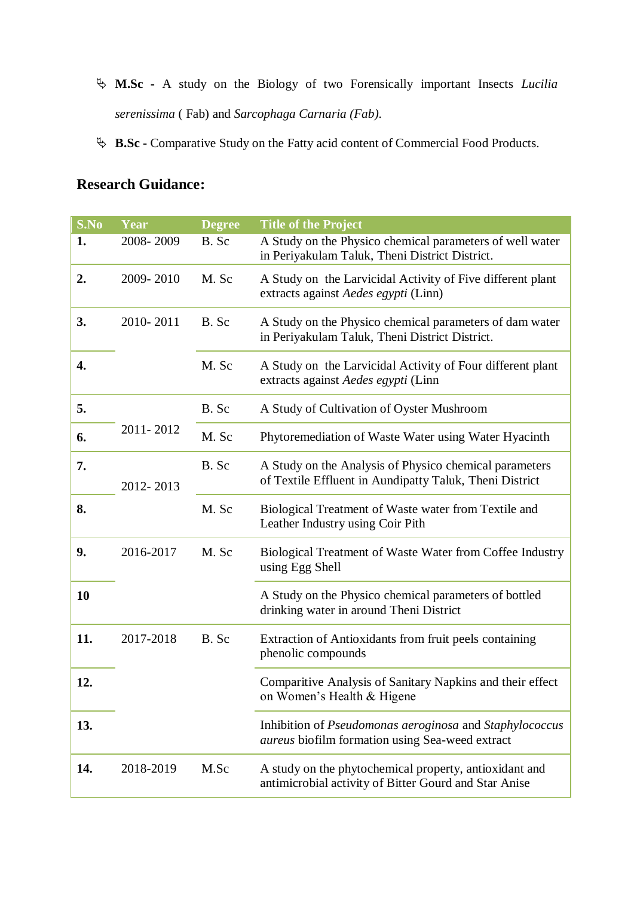- **M.Sc -** A study on the Biology of two Forensically important Insects *Lucilia serenissima* ( Fab) and *Sarcophaga Carnaria (Fab).*
- **B.Sc -** Comparative Study on the Fatty acid content of Commercial Food Products.

# **Research Guidance:**

| S.No | Year      | <b>Degree</b> | <b>Title of the Project</b>                                                                                                     |
|------|-----------|---------------|---------------------------------------------------------------------------------------------------------------------------------|
| 1.   | 2008-2009 | B. Sc         | A Study on the Physico chemical parameters of well water<br>in Periyakulam Taluk, Theni District District.                      |
| 2.   | 2009-2010 | M. Sc         | A Study on the Larvicidal Activity of Five different plant<br>extracts against Aedes egypti (Linn)                              |
| 3.   | 2010-2011 | B. Sc         | A Study on the Physico chemical parameters of dam water<br>in Periyakulam Taluk, Theni District District.                       |
| 4.   |           | M. Sc         | A Study on the Larvicidal Activity of Four different plant<br>extracts against Aedes egypti (Linn                               |
| 5.   |           | B. Sc         | A Study of Cultivation of Oyster Mushroom                                                                                       |
| 6.   | 2011-2012 | M. Sc         | Phytoremediation of Waste Water using Water Hyacinth                                                                            |
| 7.   | 2012-2013 | B. Sc         | A Study on the Analysis of Physico chemical parameters<br>of Textile Effluent in Aundipatty Taluk, Theni District               |
| 8.   |           | M. Sc         | Biological Treatment of Waste water from Textile and<br>Leather Industry using Coir Pith                                        |
| 9.   | 2016-2017 | M. Sc         | Biological Treatment of Waste Water from Coffee Industry<br>using Egg Shell                                                     |
| 10   |           |               | A Study on the Physico chemical parameters of bottled<br>drinking water in around Theni District                                |
| 11.  | 2017-2018 | B. Sc         | Extraction of Antioxidants from fruit peels containing<br>phenolic compounds                                                    |
| 12.  |           |               | Comparitive Analysis of Sanitary Napkins and their effect<br>on Women's Health & Higene                                         |
| 13.  |           |               | Inhibition of <i>Pseudomonas aeroginosa</i> and <i>Staphylococcus</i><br><i>aureus</i> biofilm formation using Sea-weed extract |
| 14.  | 2018-2019 | M.Sc          | A study on the phytochemical property, antioxidant and<br>antimicrobial activity of Bitter Gourd and Star Anise                 |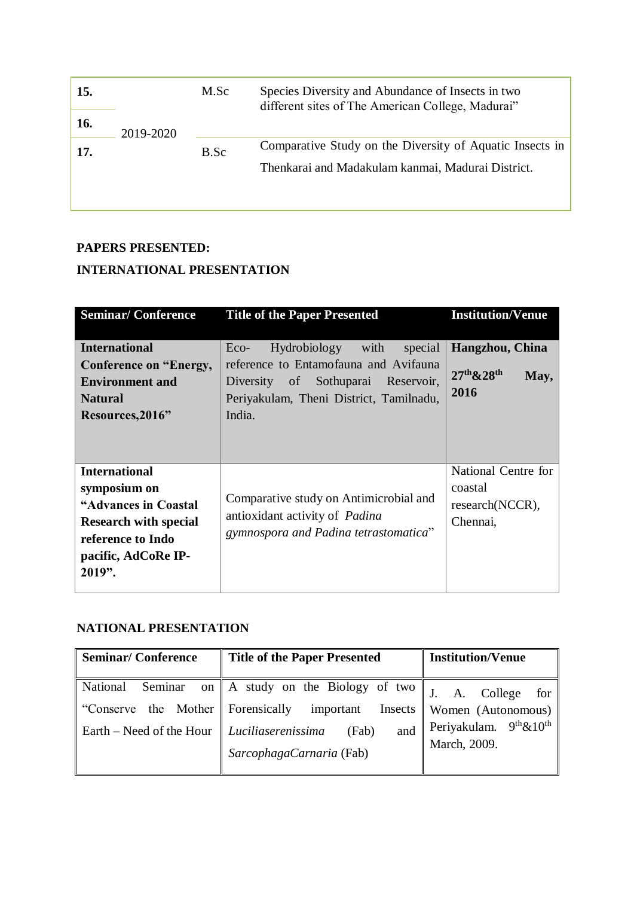| 15. |           | M.Sc | Species Diversity and Abundance of Insects in two<br>different sites of The American College, Madurai"        |
|-----|-----------|------|---------------------------------------------------------------------------------------------------------------|
| 16. | 2019-2020 |      |                                                                                                               |
| 17. |           | B.Sc | Comparative Study on the Diversity of Aquatic Insects in<br>Thenkarai and Madakulam kanmai, Madurai District. |
|     |           |      |                                                                                                               |

# **PAPERS PRESENTED:**

# **INTERNATIONAL PRESENTATION**

| <b>Seminar/Conference</b><br><b>Title of the Paper Presented</b>                                                                                   |                                                                                                                           | <b>Institution/Venue</b>                                      |
|----------------------------------------------------------------------------------------------------------------------------------------------------|---------------------------------------------------------------------------------------------------------------------------|---------------------------------------------------------------|
| <b>International</b><br>Conference on "Energy,<br><b>Environment and</b>                                                                           | Hydrobiology with<br>special<br>Eco-<br>reference to Entamofauna and Avifauna<br>of Sothuparai<br>Reservoir,<br>Diversity | Hangzhou, China<br>$27th$ & $28th$<br>May,                    |
| <b>Natural</b><br>Resources, 2016"                                                                                                                 | Periyakulam, Theni District, Tamilnadu,<br>India.                                                                         | 2016                                                          |
| <b>International</b><br>symposium on<br>"Advances in Coastal<br><b>Research with special</b><br>reference to Indo<br>pacific, AdCoRe IP-<br>2019". | Comparative study on Antimicrobial and<br>antioxidant activity of <i>Padina</i><br>gymnospora and Padina tetrastomatica"  | National Centre for<br>coastal<br>research(NCCR),<br>Chennai, |

# **NATIONAL PRESENTATION**

| <b>Seminar/Conference</b>                                     | <b>Title of the Paper Presented</b>                                                                                                                                       | <b>Institution/Venue</b>                                                                                     |  |
|---------------------------------------------------------------|---------------------------------------------------------------------------------------------------------------------------------------------------------------------------|--------------------------------------------------------------------------------------------------------------|--|
| Seminar<br>National<br>"Conserve"<br>Earth – Need of the Hour | on    A study on the Biology of two $\parallel$<br>the Mother Forensically important<br>Insects<br>$\vert$ Luciliaserenissima<br>(Fab)<br>and<br>SarcophagaCarnaria (Fab) | for<br>College<br>A.<br>Women (Autonomous)<br>Periyakulam. 9 <sup>th</sup> &10 <sup>th</sup><br>March, 2009. |  |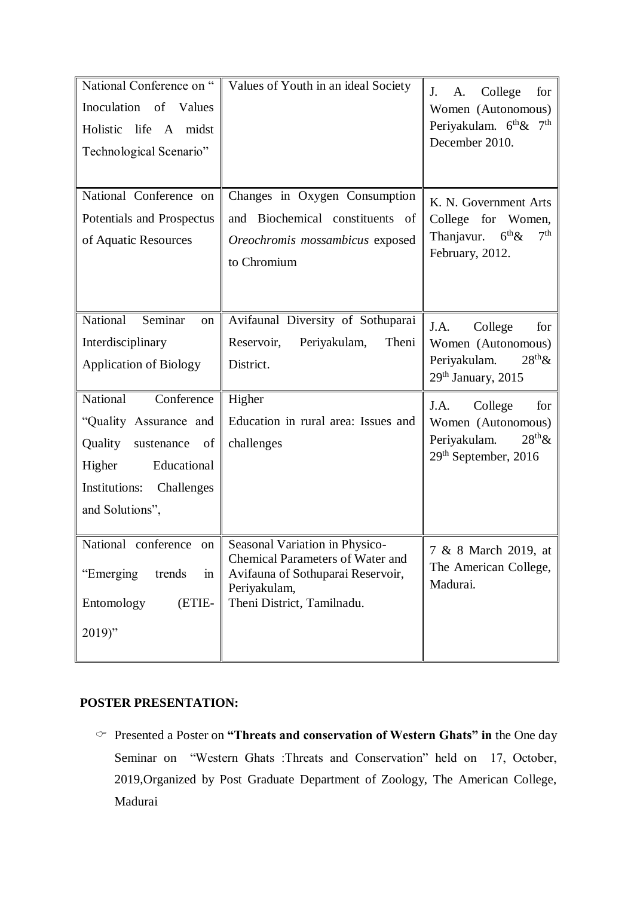| National Conference on "<br>Inoculation of Values<br>Holistic life A midst<br>Technological Scenario"                                                   | Values of Youth in an ideal Society                                                                                                                          | College<br>J.<br>A.<br>for<br>Women (Autonomous)<br>Periyakulam. 6 <sup>th</sup> & 7 <sup>th</sup><br>December 2010. |
|---------------------------------------------------------------------------------------------------------------------------------------------------------|--------------------------------------------------------------------------------------------------------------------------------------------------------------|----------------------------------------------------------------------------------------------------------------------|
| National Conference on<br>Potentials and Prospectus<br>of Aquatic Resources                                                                             | Changes in Oxygen Consumption<br>and Biochemical constituents of<br>Oreochromis mossambicus exposed<br>to Chromium                                           | K. N. Government Arts<br>College for Women,<br>7 <sup>th</sup><br>$6^{th}$ &<br>Thanjavur.<br>February, 2012.        |
| <b>National</b><br>Seminar<br>on<br>Interdisciplinary<br><b>Application of Biology</b>                                                                  | Avifaunal Diversity of Sothuparai<br>Reservoir,<br>Periyakulam,<br>Theni<br>District.                                                                        | J.A.<br>College<br>for<br>Women (Autonomous)<br>$28th \&$<br>Periyakulam.<br>$29th$ January, 2015                    |
| National<br>Conference<br>"Quality Assurance and<br>Quality<br>sustenance of<br>Educational<br>Higher<br>Institutions:<br>Challenges<br>and Solutions", | Higher<br>Education in rural area: Issues and<br>challenges                                                                                                  | J.A.<br>College<br>for<br>Women (Autonomous)<br>$28th \&$<br>Periyakulam.<br>29 <sup>th</sup> September, 2016        |
| National conference on<br>"Emerging"<br>trends<br>$\sin$<br>(ETIE-<br>Entomology<br>$2019$ "                                                            | Seasonal Variation in Physico-<br><b>Chemical Parameters of Water and</b><br>Avifauna of Sothuparai Reservoir,<br>Periyakulam,<br>Theni District, Tamilnadu. | 7 & 8 March 2019, at<br>The American College,<br>Madurai.                                                            |

## **POSTER PRESENTATION:**

 Presented a Poster on **"Threats and conservation of Western Ghats" in** the One day Seminar on "Western Ghats :Threats and Conservation" held on 17, October, 2019,Organized by Post Graduate Department of Zoology, The American College, Madurai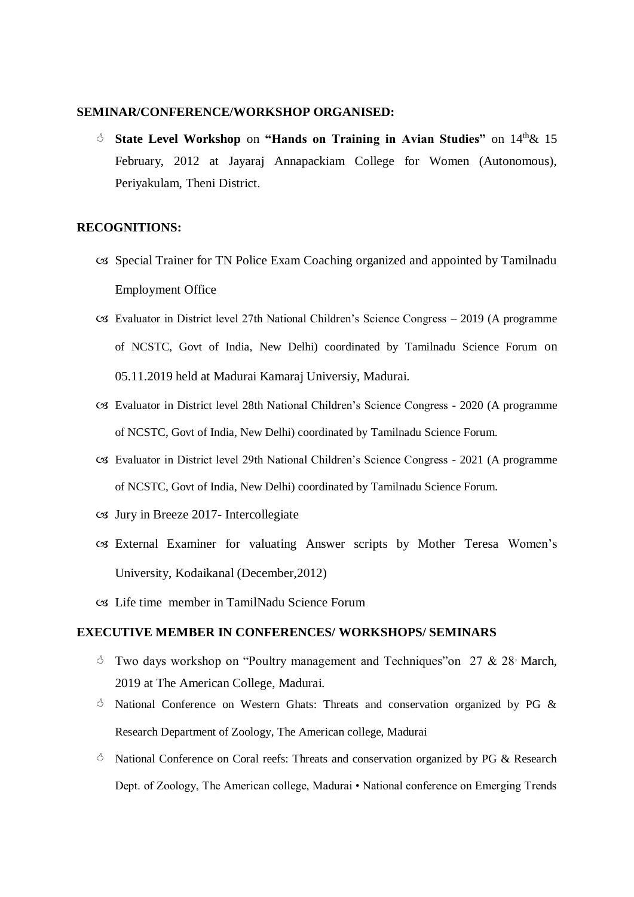#### **SEMINAR/CONFERENCE/WORKSHOP ORGANISED:**

 **State Level Workshop** on **"Hands on Training in Avian Studies"** on 14th& 15 February, 2012 at Jayaraj Annapackiam College for Women (Autonomous), Periyakulam, Theni District.

#### **RECOGNITIONS:**

- Special Trainer for TN Police Exam Coaching organized and appointed by Tamilnadu Employment Office
- Evaluator in District level 27th National Children's Science Congress 2019 (A programme of NCSTC, Govt of India, New Delhi) coordinated by Tamilnadu Science Forum on 05.11.2019 held at Madurai Kamaraj Universiy, Madurai.
- Evaluator in District level 28th National Children's Science Congress 2020 (A programme of NCSTC, Govt of India, New Delhi) coordinated by Tamilnadu Science Forum.
- Evaluator in District level 29th National Children's Science Congress 2021 (A programme of NCSTC, Govt of India, New Delhi) coordinated by Tamilnadu Science Forum.
- $\text{C3}$  Jury in Breeze 2017- Intercollegiate
- External Examiner for valuating Answer scripts by Mother Teresa Women's University, Kodaikanal (December,2012)
- Life time member in TamilNadu Science Forum

#### **EXECUTIVE MEMBER IN CONFERENCES/ WORKSHOPS/ SEMINARS**

- $\circ$  Two days workshop on "Poultry management and Techniques" on 27 & 28 March, 2019 at The American College, Madurai.
- $\circ$  National Conference on Western Ghats: Threats and conservation organized by PG & Research Department of Zoology, The American college, Madurai
- $\circ$  National Conference on Coral reefs: Threats and conservation organized by PG & Research Dept. of Zoology, The American college, Madurai • National conference on Emerging Trends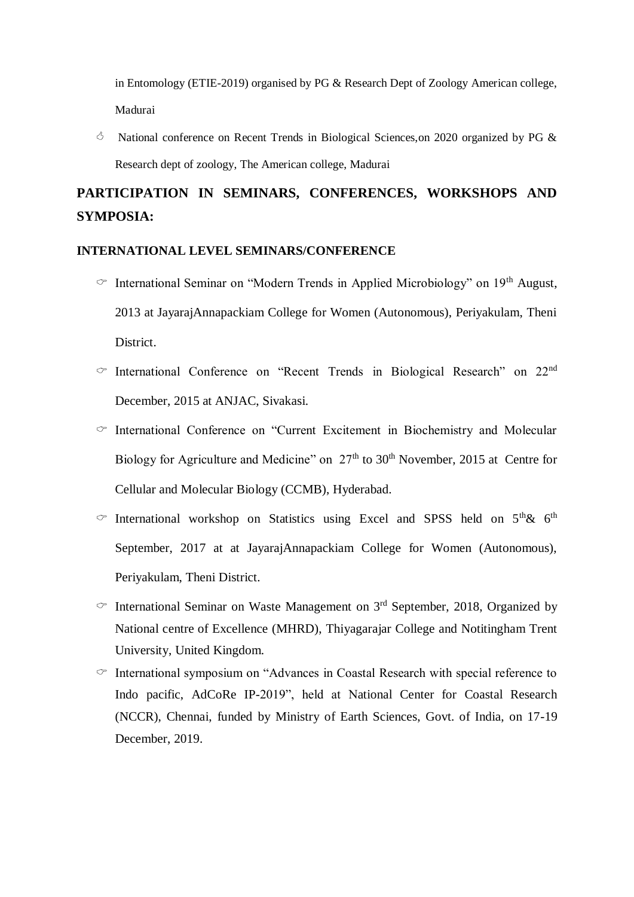in Entomology (ETIE-2019) organised by PG & Research Dept of Zoology American college, Madurai

 $\circ$  National conference on Recent Trends in Biological Sciences, on 2020 organized by PG & Research dept of zoology, The American college, Madurai

# **PARTICIPATION IN SEMINARS, CONFERENCES, WORKSHOPS AND SYMPOSIA:**

#### **INTERNATIONAL LEVEL SEMINARS/CONFERENCE**

- $\degree$  International Seminar on "Modern Trends in Applied Microbiology" on 19<sup>th</sup> August, 2013 at JayarajAnnapackiam College for Women (Autonomous), Periyakulam, Theni District.
- $\degree$  International Conference on "Recent Trends in Biological Research" on 22<sup>nd</sup> December, 2015 at ANJAC, Sivakasi.
- $\degree$  International Conference on "Current Excitement in Biochemistry and Molecular Biology for Agriculture and Medicine" on  $27<sup>th</sup>$  to  $30<sup>th</sup>$  November, 2015 at Centre for Cellular and Molecular Biology (CCMB), Hyderabad.
- $\degree$  International workshop on Statistics using Excel and SPSS held on  $5<sup>th</sup> \& 6<sup>th</sup>$ September, 2017 at at JayarajAnnapackiam College for Women (Autonomous), Periyakulam, Theni District.
- $\degree$  International Seminar on Waste Management on 3<sup>rd</sup> September, 2018, Organized by National centre of Excellence (MHRD), Thiyagarajar College and Notitingham Trent University, United Kingdom.
- $\circ$  International symposium on "Advances in Coastal Research with special reference to Indo pacific, AdCoRe IP-2019", held at National Center for Coastal Research (NCCR), Chennai, funded by Ministry of Earth Sciences, Govt. of India, on 17-19 December, 2019.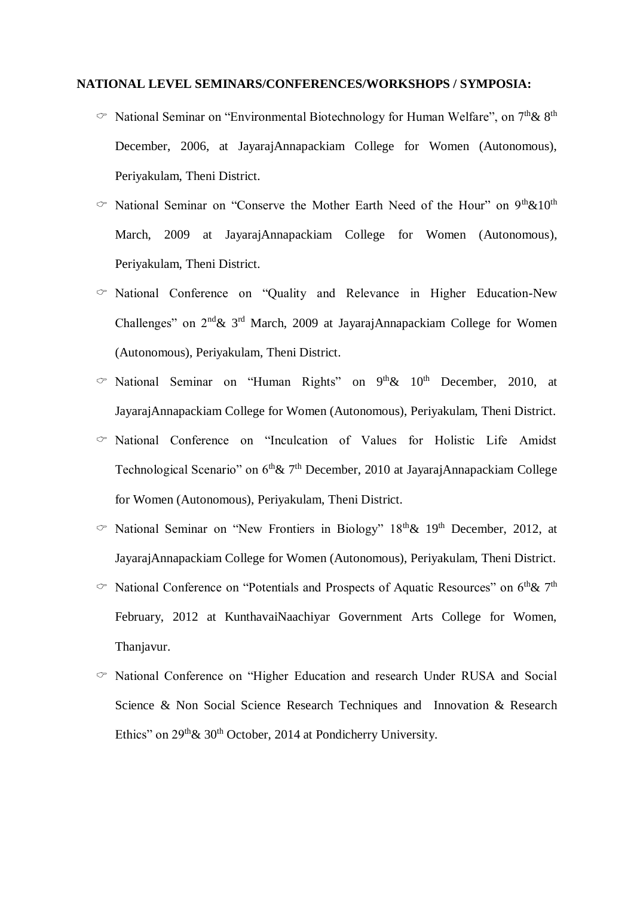#### **NATIONAL LEVEL SEMINARS/CONFERENCES/WORKSHOPS / SYMPOSIA:**

- $\degree$  National Seminar on "Environmental Biotechnology for Human Welfare", on  $7<sup>th</sup>$ &  $8<sup>th</sup>$ December, 2006, at JayarajAnnapackiam College for Women (Autonomous), Periyakulam, Theni District.
- $\degree$  National Seminar on "Conserve the Mother Earth Need of the Hour" on 9<sup>th</sup>&10<sup>th</sup> March, 2009 at JayarajAnnapackiam College for Women (Autonomous), Periyakulam, Theni District.
- $\degree$  National Conference on "Quality and Relevance in Higher Education-New Challenges" on 2nd& 3rd March, 2009 at JayarajAnnapackiam College for Women (Autonomous), Periyakulam, Theni District.
- $\degree$  National Seminar on "Human Rights" on 9<sup>th</sup>& 10<sup>th</sup> December, 2010, at JayarajAnnapackiam College for Women (Autonomous), Periyakulam, Theni District.
- $\degree$  National Conference on "Inculcation of Values for Holistic Life Amidst Technological Scenario" on  $6<sup>th</sup> \& 7<sup>th</sup>$  December, 2010 at JayarajAnnapackiam College for Women (Autonomous), Periyakulam, Theni District.
- $\degree$  National Seminar on "New Frontiers in Biology" 18<sup>th</sup> & 19<sup>th</sup> December, 2012, at JayarajAnnapackiam College for Women (Autonomous), Periyakulam, Theni District.
- $\degree$  National Conference on "Potentials and Prospects of Aquatic Resources" on 6<sup>th</sup> & 7<sup>th</sup> February, 2012 at KunthavaiNaachiyar Government Arts College for Women, Thanjavur.
- $\degree$  National Conference on "Higher Education and research Under RUSA and Social Science & Non Social Science Research Techniques and Innovation & Research Ethics" on 29<sup>th</sup> & 30<sup>th</sup> October, 2014 at Pondicherry University.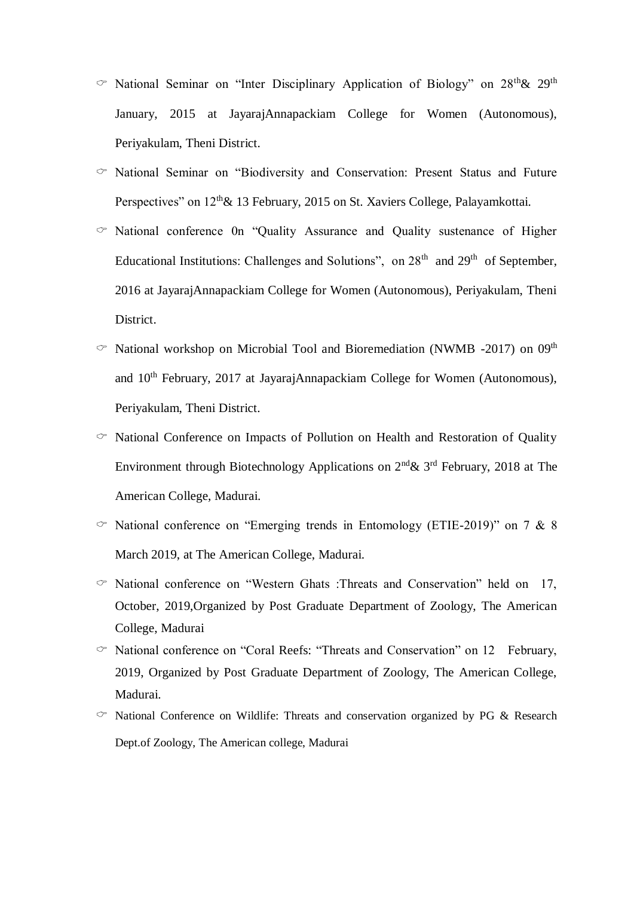- $\degree$  National Seminar on "Inter Disciplinary Application of Biology" on 28<sup>th</sup>& 29<sup>th</sup> January, 2015 at JayarajAnnapackiam College for Women (Autonomous), Periyakulam, Theni District.
- $\degree$  National Seminar on "Biodiversity and Conservation: Present Status and Future Perspectives" on  $12<sup>th</sup> \& 13$  February, 2015 on St. Xaviers College, Palayamkottai.
- $\degree$  National conference 0n "Quality Assurance and Quality sustenance of Higher Educational Institutions: Challenges and Solutions", on  $28<sup>th</sup>$  and  $29<sup>th</sup>$  of September, 2016 at JayarajAnnapackiam College for Women (Autonomous), Periyakulam, Theni District.
- $\degree$  National workshop on Microbial Tool and Bioremediation (NWMB -2017) on 09<sup>th</sup> and 10th February, 2017 at JayarajAnnapackiam College for Women (Autonomous), Periyakulam, Theni District.
- $\circ$  National Conference on Impacts of Pollution on Health and Restoration of Quality Environment through Biotechnology Applications on  $2^{nd}$ &  $3^{rd}$  February, 2018 at The American College, Madurai.
- $\degree$  National conference on "Emerging trends in Entomology (ETIE-2019)" on 7 & 8 March 2019, at The American College, Madurai.
- $\degree$  National conference on "Western Ghats :Threats and Conservation" held on 17, October, 2019,Organized by Post Graduate Department of Zoology, The American College, Madurai
- $\degree$  National conference on "Coral Reefs: "Threats and Conservation" on 12 February, 2019, Organized by Post Graduate Department of Zoology, The American College, Madurai.
- $\degree$  National Conference on Wildlife: Threats and conservation organized by PG & Research Dept.of Zoology, The American college, Madurai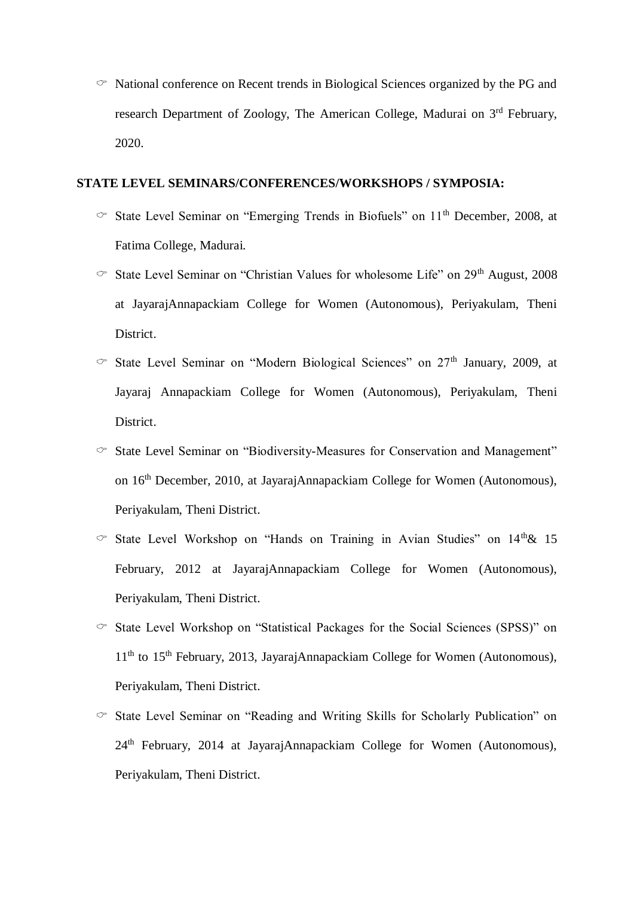$\degree$  National conference on Recent trends in Biological Sciences organized by the PG and research Department of Zoology, The American College, Madurai on 3rd February, 2020.

#### **STATE LEVEL SEMINARS/CONFERENCES/WORKSHOPS / SYMPOSIA:**

- $\degree$  State Level Seminar on "Emerging Trends in Biofuels" on 11<sup>th</sup> December, 2008, at Fatima College, Madurai.
- $\degree$  State Level Seminar on "Christian Values for wholesome Life" on 29<sup>th</sup> August, 2008 at JayarajAnnapackiam College for Women (Autonomous), Periyakulam, Theni District.
- $\degree$  State Level Seminar on "Modern Biological Sciences" on 27<sup>th</sup> January, 2009, at Jayaraj Annapackiam College for Women (Autonomous), Periyakulam, Theni District.
- $\degree$  State Level Seminar on "Biodiversity-Measures for Conservation and Management" on 16th December, 2010, at JayarajAnnapackiam College for Women (Autonomous), Periyakulam, Theni District.
- $\degree$  State Level Workshop on "Hands on Training in Avian Studies" on 14<sup>th</sup>& 15 February, 2012 at JayarajAnnapackiam College for Women (Autonomous), Periyakulam, Theni District.
- $\degree$  State Level Workshop on "Statistical Packages for the Social Sciences (SPSS)" on  $11<sup>th</sup>$  to  $15<sup>th</sup>$  February, 2013, JayarajAnnapackiam College for Women (Autonomous), Periyakulam, Theni District.
- $\degree$  State Level Seminar on "Reading and Writing Skills for Scholarly Publication" on 24th February, 2014 at JayarajAnnapackiam College for Women (Autonomous), Periyakulam, Theni District.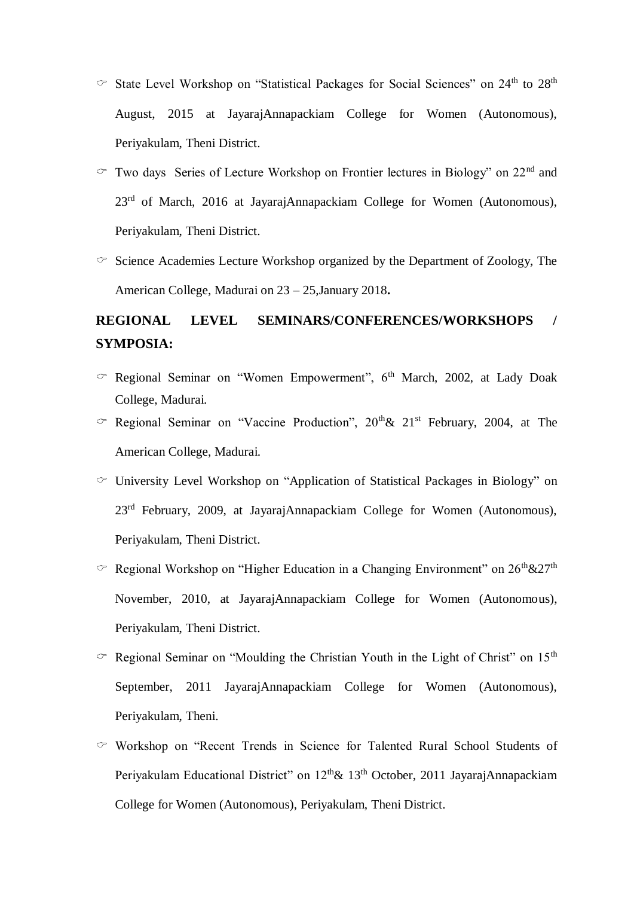- $\degree$  State Level Workshop on "Statistical Packages for Social Sciences" on 24<sup>th</sup> to 28<sup>th</sup> August, 2015 at JayarajAnnapackiam College for Women (Autonomous), Periyakulam, Theni District.
- $\sigma$  Two days Series of Lecture Workshop on Frontier lectures in Biology" on 22<sup>nd</sup> and 23<sup>rd</sup> of March, 2016 at JayarajAnnapackiam College for Women (Autonomous), Periyakulam, Theni District.
- $\circ$  Science Academies Lecture Workshop organized by the Department of Zoology, The American College, Madurai on 23 – 25,January 2018**.**

# **REGIONAL LEVEL SEMINARS/CONFERENCES/WORKSHOPS / SYMPOSIA:**

- $\degree$  Regional Seminar on "Women Empowerment", 6<sup>th</sup> March, 2002, at Lady Doak College, Madurai.
- $\degree$  Regional Seminar on "Vaccine Production", 20<sup>th</sup> & 21<sup>st</sup> February, 2004, at The American College, Madurai.
- $\circ$  University Level Workshop on "Application of Statistical Packages in Biology" on 23<sup>rd</sup> February, 2009, at JayarajAnnapackiam College for Women (Autonomous), Periyakulam, Theni District.
- $\degree$  Regional Workshop on "Higher Education in a Changing Environment" on 26<sup>th</sup>&27<sup>th</sup> November, 2010, at JayarajAnnapackiam College for Women (Autonomous), Periyakulam, Theni District.
- $\degree$  Regional Seminar on "Moulding the Christian Youth in the Light of Christ" on 15<sup>th</sup> September, 2011 JayarajAnnapackiam College for Women (Autonomous), Periyakulam, Theni.
- $\degree$  Workshop on "Recent Trends in Science for Talented Rural School Students of Periyakulam Educational District" on 12<sup>th</sup>& 13<sup>th</sup> October, 2011 JayarajAnnapackiam College for Women (Autonomous), Periyakulam, Theni District.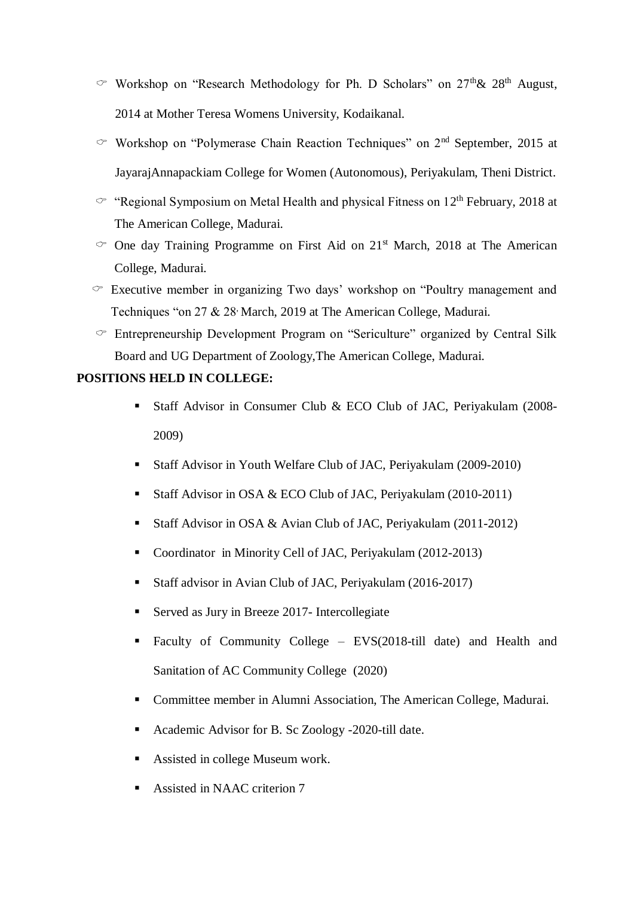- $\degree$  Workshop on "Research Methodology for Ph. D Scholars" on 27<sup>th</sup> & 28<sup>th</sup> August, 2014 at Mother Teresa Womens University, Kodaikanal.
- $\degree$  Workshop on "Polymerase Chain Reaction Techniques" on 2<sup>nd</sup> September, 2015 at JayarajAnnapackiam College for Women (Autonomous), Periyakulam, Theni District.
- $\textdegree$  "Regional Symposium on Metal Health and physical Fitness on 12<sup>th</sup> February, 2018 at The American College, Madurai.
- $\degree$  One day Training Programme on First Aid on 21<sup>st</sup> March, 2018 at The American College, Madurai.
- $\sigma$  Executive member in organizing Two days' workshop on "Poultry management and Techniques "on 27 & 28 March, 2019 at The American College, Madurai.
- $\circ$  Entrepreneurship Development Program on "Sericulture" organized by Central Silk Board and UG Department of Zoology,The American College, Madurai.

## **POSITIONS HELD IN COLLEGE:**

- Staff Advisor in Consumer Club & ECO Club of JAC, Periyakulam (2008- 2009)
- Staff Advisor in Youth Welfare Club of JAC, Periyakulam (2009-2010)
- Staff Advisor in OSA & ECO Club of JAC, Periyakulam (2010-2011)
- Staff Advisor in OSA & Avian Club of JAC, Periyakulam (2011-2012)
- Coordinator in Minority Cell of JAC, Periyakulam (2012-2013)
- Staff advisor in Avian Club of JAC, Periyakulam (2016-2017)
- Served as Jury in Breeze 2017- Intercollegiate
- Faculty of Community College EVS(2018-till date) and Health and Sanitation of AC Community College (2020)
- Committee member in Alumni Association, The American College, Madurai.
- Academic Advisor for B. Sc Zoology -2020-till date.
- **Assisted in college Museum work.**
- Assisted in NAAC criterion 7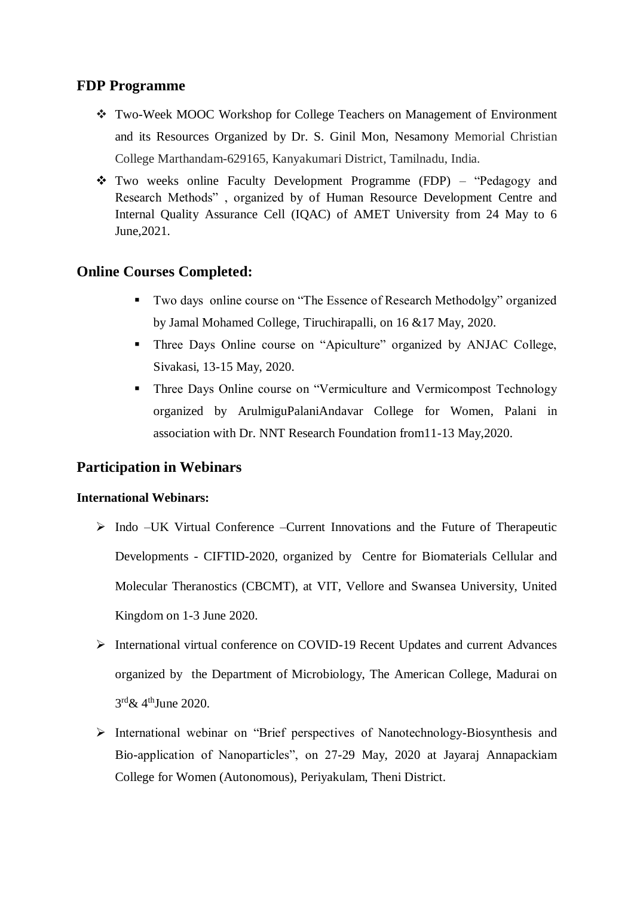# **FDP Programme**

- Two-Week MOOC Workshop for College Teachers on Management of Environment and its Resources Organized by Dr. S. Ginil Mon, Nesamony Memorial Christian College Marthandam-629165, Kanyakumari District, Tamilnadu, India.
- Two weeks online Faculty Development Programme (FDP) "Pedagogy and Research Methods" , organized by of Human Resource Development Centre and Internal Quality Assurance Cell (IQAC) of AMET University from 24 May to 6 June,2021.

# **Online Courses Completed:**

- **Two days online course on "The Essence of Research Methodolgy" organized** by Jamal Mohamed College, Tiruchirapalli, on 16 &17 May, 2020.
- Three Days Online course on "Apiculture" organized by ANJAC College, Sivakasi, 13-15 May, 2020.
- **Three Days Online course on "Vermiculture and Vermicompost Technology** organized by ArulmiguPalaniAndavar College for Women, Palani in association with Dr. NNT Research Foundation from11-13 May,2020.

# **Participation in Webinars**

## **International Webinars:**

- $\triangleright$  Indo –UK Virtual Conference –Current Innovations and the Future of Therapeutic Developments - CIFTID-2020, organized by Centre for Biomaterials Cellular and Molecular Theranostics (CBCMT), at VIT, Vellore and Swansea University, United Kingdom on 1-3 June 2020.
- International virtual conference on COVID-19 Recent Updates and current Advances organized by the Department of Microbiology, The American College, Madurai on  $3^{\text{rd}}$ & 4<sup>th</sup>June 2020.
- International webinar on "Brief perspectives of Nanotechnology-Biosynthesis and Bio-application of Nanoparticles", on 27-29 May, 2020 at Jayaraj Annapackiam College for Women (Autonomous), Periyakulam, Theni District.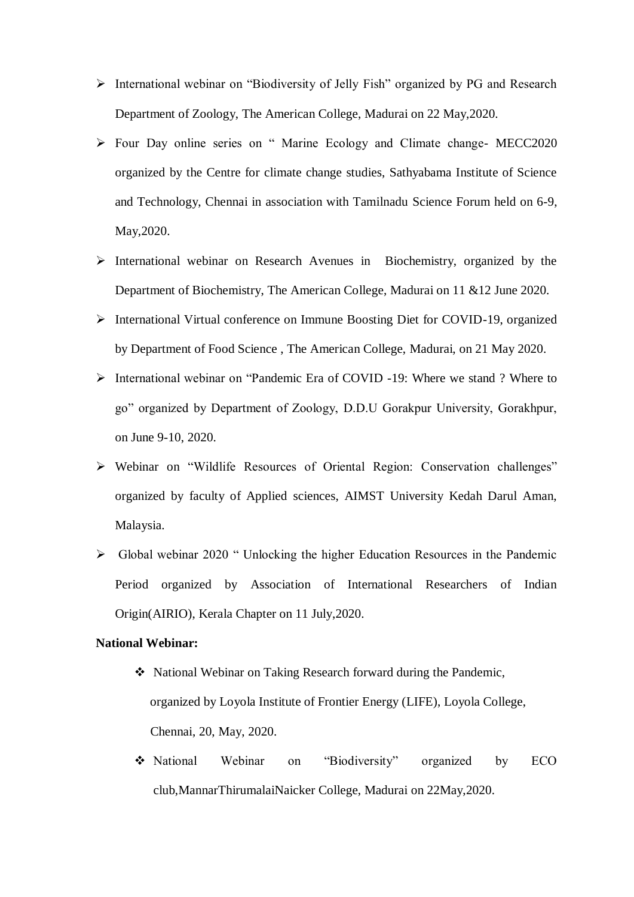- International webinar on "Biodiversity of Jelly Fish" organized by PG and Research Department of Zoology, The American College, Madurai on 22 May,2020.
- Four Day online series on " Marine Ecology and Climate change- MECC2020 organized by the Centre for climate change studies, Sathyabama Institute of Science and Technology, Chennai in association with Tamilnadu Science Forum held on 6-9, May,2020.
- $\triangleright$  International webinar on Research Avenues in Biochemistry, organized by the Department of Biochemistry, The American College, Madurai on 11 &12 June 2020.
- International Virtual conference on Immune Boosting Diet for COVID-19, organized by Department of Food Science , The American College, Madurai, on 21 May 2020.
- International webinar on "Pandemic Era of COVID -19: Where we stand ? Where to go" organized by Department of Zoology, D.D.U Gorakpur University, Gorakhpur, on June 9-10, 2020.
- Webinar on "Wildlife Resources of Oriental Region: Conservation challenges" organized by faculty of Applied sciences, AIMST University Kedah Darul Aman, Malaysia.
- Global webinar 2020 " Unlocking the higher Education Resources in the Pandemic Period organized by Association of International Researchers of Indian Origin(AIRIO), Kerala Chapter on 11 July,2020.

#### **National Webinar:**

- National Webinar on Taking Research forward during the Pandemic, organized by Loyola Institute of Frontier Energy (LIFE), Loyola College, Chennai, 20, May, 2020.
- National Webinar on "Biodiversity" organized by ECO club,MannarThirumalaiNaicker College, Madurai on 22May,2020.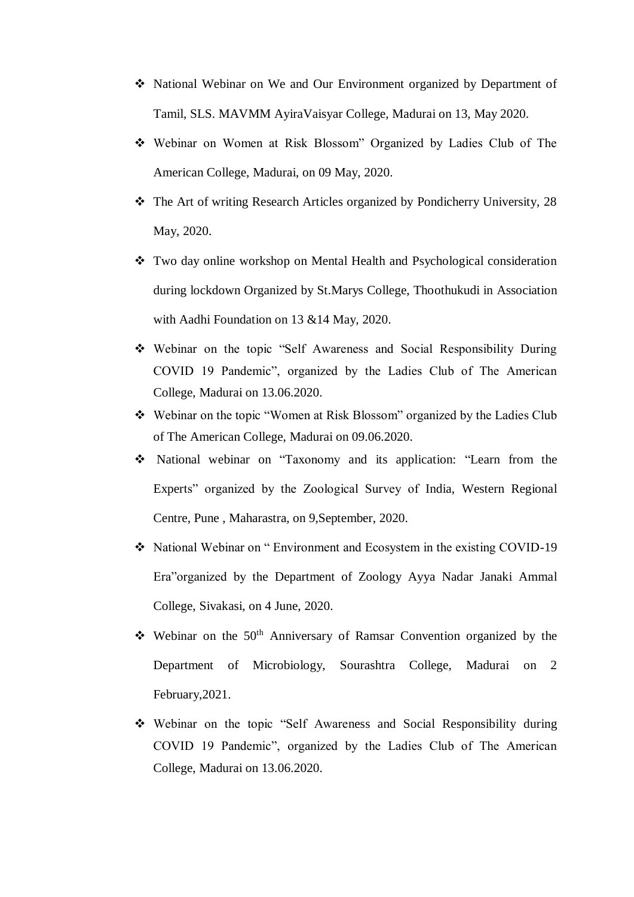- National Webinar on We and Our Environment organized by Department of Tamil, SLS. MAVMM AyiraVaisyar College, Madurai on 13, May 2020.
- Webinar on Women at Risk Blossom" Organized by Ladies Club of The American College, Madurai, on 09 May, 2020.
- The Art of writing Research Articles organized by Pondicherry University, 28 May, 2020.
- Two day online workshop on Mental Health and Psychological consideration during lockdown Organized by St.Marys College, Thoothukudi in Association with Aadhi Foundation on 13 &14 May, 2020.
- Webinar on the topic "Self Awareness and Social Responsibility During COVID 19 Pandemic", organized by the Ladies Club of The American College, Madurai on 13.06.2020.
- Webinar on the topic "Women at Risk Blossom" organized by the Ladies Club of The American College, Madurai on 09.06.2020.
- National webinar on "Taxonomy and its application: "Learn from the Experts" organized by the Zoological Survey of India, Western Regional Centre, Pune , Maharastra, on 9,September, 2020.
- National Webinar on " Environment and Ecosystem in the existing COVID-19 Era"organized by the Department of Zoology Ayya Nadar Janaki Ammal College, Sivakasi, on 4 June, 2020.
- $\div$  Webinar on the 50<sup>th</sup> Anniversary of Ramsar Convention organized by the Department of Microbiology, Sourashtra College, Madurai on 2 February,2021.
- Webinar on the topic "Self Awareness and Social Responsibility during COVID 19 Pandemic", organized by the Ladies Club of The American College, Madurai on 13.06.2020.